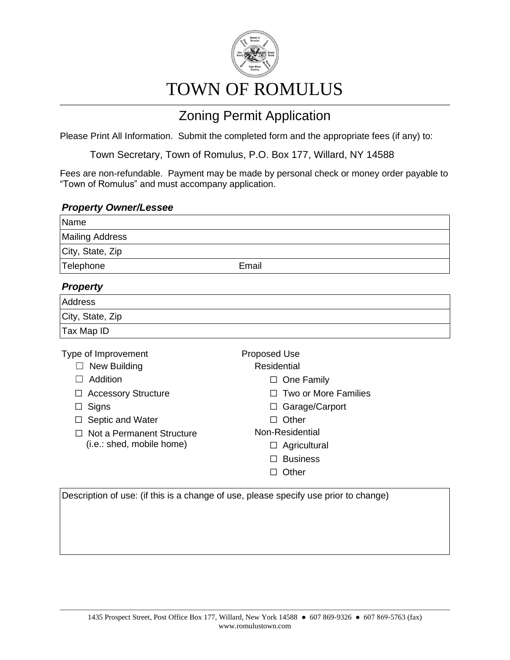

## TOWN OF ROMULUS

## Zoning Permit Application

Please Print All Information. Submit the completed form and the appropriate fees (if any) to:

Town Secretary, Town of Romulus, P.O. Box 177, Willard, NY 14588

Fees are non-refundable. Payment may be made by personal check or money order payable to "Town of Romulus" and must accompany application.

## *Property Owner/Lessee*

| Name                                                                                                                                                                 |                                                                                                                                                                                         |
|----------------------------------------------------------------------------------------------------------------------------------------------------------------------|-----------------------------------------------------------------------------------------------------------------------------------------------------------------------------------------|
| <b>Mailing Address</b>                                                                                                                                               |                                                                                                                                                                                         |
| City, State, Zip                                                                                                                                                     |                                                                                                                                                                                         |
| Telephone                                                                                                                                                            | Email                                                                                                                                                                                   |
| <b>Property</b>                                                                                                                                                      |                                                                                                                                                                                         |
| <b>Address</b>                                                                                                                                                       |                                                                                                                                                                                         |
| City, State, Zip                                                                                                                                                     |                                                                                                                                                                                         |
| Tax Map ID                                                                                                                                                           |                                                                                                                                                                                         |
| Type of Improvement<br>New Building<br>Addition<br><b>Accessory Structure</b><br>Signs<br>Septic and Water<br>Not a Permanent Structure<br>(i.e.: shed, mobile home) | Proposed Use<br><b>Residential</b><br>One Family<br>⊔<br>Two or More Families<br>Garage/Carport<br>$\perp$<br>Other<br>П<br>Non-Residential<br>Agricultural<br><b>Business</b><br>Other |

Description of use: (if this is a change of use, please specify use prior to change)